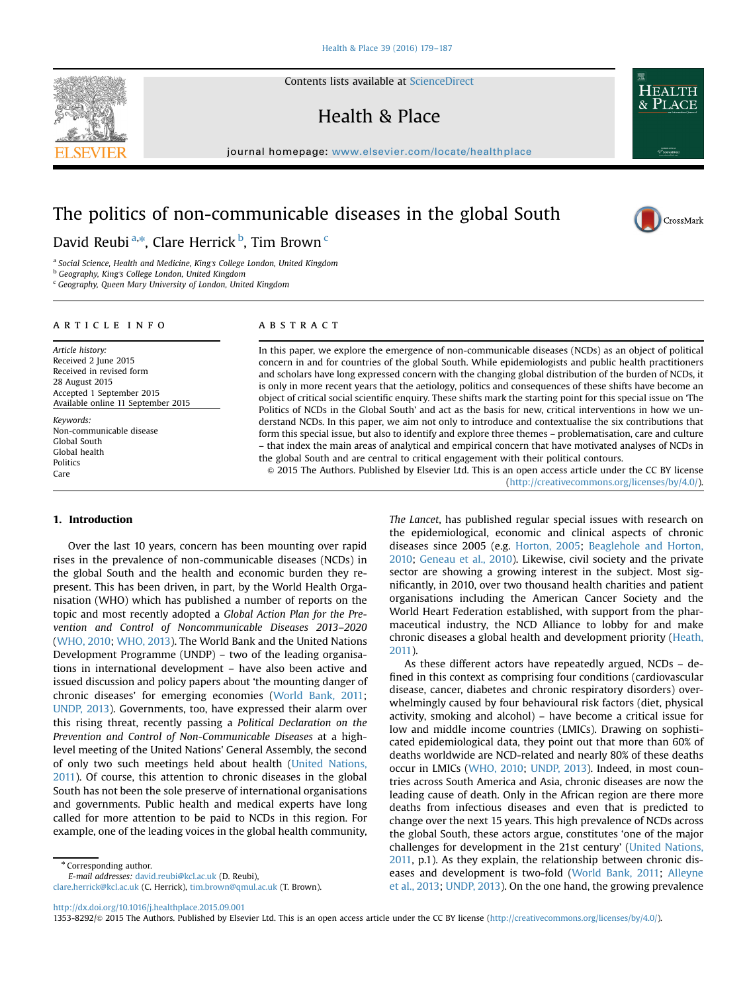Contents lists available at ScienceDirect

Health & Place

journal homepage: <www.elsevier.com/locate/healthplace>/healthplace/healthplace/healthplace/healthplace/healthplace/healthplace/healthplace/healthplace/healthplace/healthplace/healthplace/healthplace/healthplace/healthplace

# The politics of non-communicable diseases in the global South



<sup>a</sup> Social Science, Health and Medicine, King's College London, United Kingdom

<sup>b</sup> Geography, King's College London, United Kingdom

<sup>c</sup> Geography, Queen Mary University of London, United Kingdom

## article info

Article history: Received 2 June 2015 Received in revised form 28 August 2015 Accepted 1 September 2015 Available online 11 September 2015 Keywords:

Non-communicable disease Global South Global health Politics Care

# ABSTRACT

In this paper, we explore the emergence of non-communicable diseases (NCDs) as an object of political concern in and for countries of the global South. While epidemiologists and public health practitioners and scholars have long expressed concern with the changing global distribution of the burden of NCDs, it is only in more recent years that the aetiology, politics and consequences of these shifts have become an object of critical social scientific enquiry. These shifts mark the starting point for this special issue on 'The Politics of NCDs in the Global South' and act as the basis for new, critical interventions in how we understand NCDs. In this paper, we aim not only to introduce and contextualise the six contributions that form this special issue, but also to identify and explore three themes – problematisation, care and culture – that index the main areas of analytical and empirical concern that have motivated analyses of NCDs in the global South and are central to critical engagement with their political contours.

& 2015 The Authors. Published by Elsevier Ltd. This is an open access article under the CC BY license (http://creativecommons.org/licenses/by/4.0/).

## 1. Introduction

Over the last 10 years, concern has been mounting over rapid rises in the prevalence of non-communicable diseases (NCDs) in the global South and the health and economic burden they represent. This has been driven, in part, by the World Health Organisation (WHO) which has published a number of reports on the topic and most recently adopted a Global Action Plan for the Prevention and Control of Noncommunicable Diseases 2013–2020 ([WHO, 2010](#page-8-0); [WHO, 2013](#page-8-0)). The World Bank and the United Nations Development Programme (UNDP) – two of the leading organisations in international development – have also been active and issued discussion and policy papers about 'the mounting danger of chronic diseases' for emerging economies ([World Bank, 2011;](#page-8-0) [UNDP, 2013\)](#page-8-0). Governments, too, have expressed their alarm over this rising threat, recently passing a Political Declaration on the Prevention and Control of Non-Communicable Diseases at a highlevel meeting of the United Nations' General Assembly, the second of only two such meetings held about health [\(United Nations,](#page-8-0) [2011](#page-8-0)). Of course, this attention to chronic diseases in the global South has not been the sole preserve of international organisations and governments. Public health and medical experts have long called for more attention to be paid to NCDs in this region. For example, one of the leading voices in the global health community,

\* Corresponding author.

E-mail addresses: [david.reubi@kcl.ac.uk](mailto:david.reubi@kcl.ac.uk) (D. Reubi), [clare.herrick@kcl.ac.uk](mailto:clare.herrick@kcl.ac.uk) (C. Herrick), [tim.brown@qmul.ac.uk](mailto:tim.brown@qmul.ac.uk) (T. Brown). The Lancet, has published regular special issues with research on the epidemiological, economic and clinical aspects of chronic diseases since 2005 (e.g. [Horton, 2005](#page-7-0); [Beaglehole and Horton,](#page-6-0) [2010;](#page-6-0) [Geneau et al., 2010\)](#page-7-0). Likewise, civil society and the private sector are showing a growing interest in the subject. Most significantly, in 2010, over two thousand health charities and patient organisations including the American Cancer Society and the World Heart Federation established, with support from the pharmaceutical industry, the NCD Alliance to lobby for and make chronic diseases a global health and development priority ([Heath,](#page-7-0) [2011](#page-7-0)).

As these different actors have repeatedly argued, NCDs – defined in this context as comprising four conditions (cardiovascular disease, cancer, diabetes and chronic respiratory disorders) overwhelmingly caused by four behavioural risk factors (diet, physical activity, smoking and alcohol) – have become a critical issue for low and middle income countries (LMICs). Drawing on sophisticated epidemiological data, they point out that more than 60% of deaths worldwide are NCD-related and nearly 80% of these deaths occur in LMICs ([WHO, 2010](#page-8-0); [UNDP, 2013](#page-8-0)). Indeed, in most countries across South America and Asia, chronic diseases are now the leading cause of death. Only in the African region are there more deaths from infectious diseases and even that is predicted to change over the next 15 years. This high prevalence of NCDs across the global South, these actors argue, constitutes 'one of the major challenges for development in the 21st century' [\(United Nations,](#page-8-0) [2011](#page-8-0), p.1). As they explain, the relationship between chronic diseases and development is two-fold [\(World Bank, 2011](#page-8-0); [Alleyne](#page-6-0) [et al., 2013;](#page-6-0) [UNDP, 2013](#page-8-0)). On the one hand, the growing prevalence

<http://dx.doi.org/10.1016/j.healthplace.2015.09.001>

1353-8292/& 2015 The Authors. Published by Elsevier Ltd. This is an open access article under the CC BY license (http://creativecommons.org/licenses/by/4.0/).





CrossMark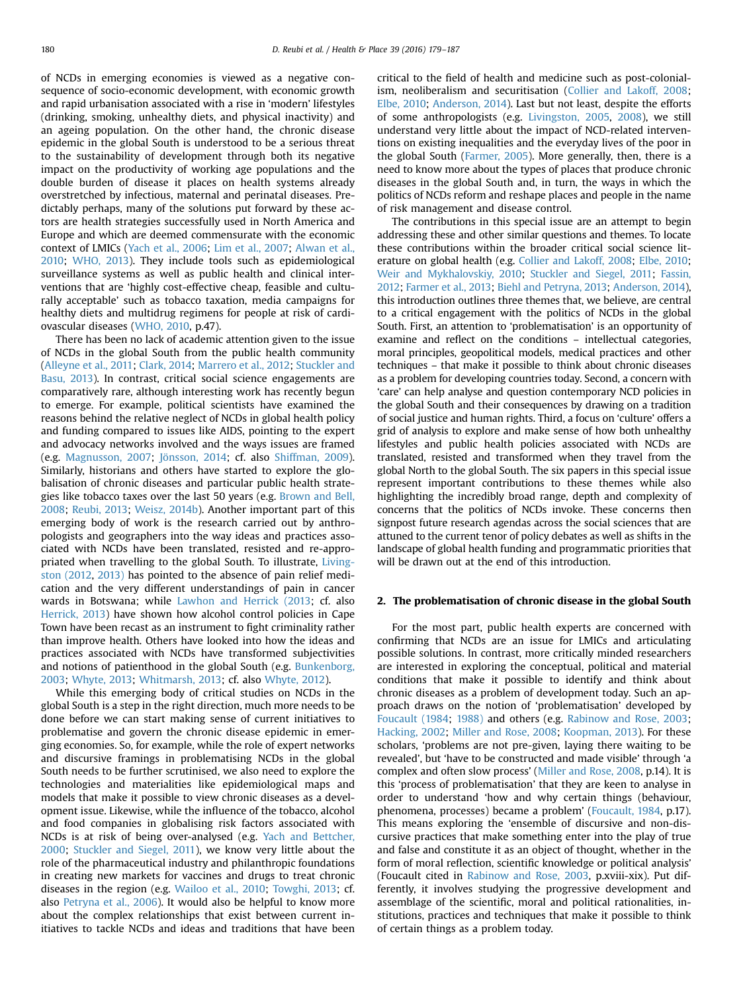of NCDs in emerging economies is viewed as a negative consequence of socio-economic development, with economic growth and rapid urbanisation associated with a rise in 'modern' lifestyles (drinking, smoking, unhealthy diets, and physical inactivity) and an ageing population. On the other hand, the chronic disease epidemic in the global South is understood to be a serious threat to the sustainability of development through both its negative impact on the productivity of working age populations and the double burden of disease it places on health systems already overstretched by infectious, maternal and perinatal diseases. Predictably perhaps, many of the solutions put forward by these actors are health strategies successfully used in North America and Europe and which are deemed commensurate with the economic context of LMICs [\(Yach et al., 2006;](#page-8-0) [Lim et al., 2007;](#page-7-0) [Alwan et al.,](#page-6-0) [2010;](#page-6-0) [WHO, 2013](#page-8-0)). They include tools such as epidemiological surveillance systems as well as public health and clinical interventions that are 'highly cost-effective cheap, feasible and culturally acceptable' such as tobacco taxation, media campaigns for healthy diets and multidrug regimens for people at risk of cardiovascular diseases ([WHO, 2010](#page-8-0), p.47).

There has been no lack of academic attention given to the issue of NCDs in the global South from the public health community ([Alleyne et al., 2011](#page-6-0); [Clark, 2014](#page-6-0); [Marrero et al., 2012;](#page-7-0) [Stuckler and](#page-8-0) [Basu, 2013](#page-8-0)). In contrast, critical social science engagements are comparatively rare, although interesting work has recently begun to emerge. For example, political scientists have examined the reasons behind the relative neglect of NCDs in global health policy and funding compared to issues like AIDS, pointing to the expert and advocacy networks involved and the ways issues are framed (e.g. [Magnusson, 2007;](#page-7-0) [Jönsson, 2014](#page-7-0); cf. also [Shiffman, 2009\)](#page-7-0). Similarly, historians and others have started to explore the globalisation of chronic diseases and particular public health strategies like tobacco taxes over the last 50 years (e.g. [Brown and Bell,](#page-6-0) [2008;](#page-6-0) [Reubi, 2013](#page-7-0); [Weisz, 2014b](#page-8-0)). Another important part of this emerging body of work is the research carried out by anthropologists and geographers into the way ideas and practices associated with NCDs have been translated, resisted and re-appropriated when travelling to the global South. To illustrate, [Living](#page-7-0)[ston \(2012](#page-7-0), [2013\)](#page-7-0) has pointed to the absence of pain relief medication and the very different understandings of pain in cancer wards in Botswana; while [Lawhon and Herrick \(2013](#page-7-0); cf. also [Herrick, 2013](#page-7-0)) have shown how alcohol control policies in Cape Town have been recast as an instrument to fight criminality rather than improve health. Others have looked into how the ideas and practices associated with NCDs have transformed subjectivities and notions of patienthood in the global South (e.g. [Bunkenborg,](#page-6-0) [2003;](#page-6-0) [Whyte, 2013;](#page-8-0) [Whitmarsh, 2013](#page-8-0); cf. also [Whyte, 2012\)](#page-8-0).

While this emerging body of critical studies on NCDs in the global South is a step in the right direction, much more needs to be done before we can start making sense of current initiatives to problematise and govern the chronic disease epidemic in emerging economies. So, for example, while the role of expert networks and discursive framings in problematising NCDs in the global South needs to be further scrutinised, we also need to explore the technologies and materialities like epidemiological maps and models that make it possible to view chronic diseases as a development issue. Likewise, while the influence of the tobacco, alcohol and food companies in globalising risk factors associated with NCDs is at risk of being over-analysed (e.g. [Yach and Bettcher,](#page-8-0) [2000](#page-8-0); [Stuckler and Siegel, 2011](#page-8-0)), we know very little about the role of the pharmaceutical industry and philanthropic foundations in creating new markets for vaccines and drugs to treat chronic diseases in the region (e.g. [Wailoo et al., 2010](#page-8-0); [Towghi, 2013](#page-8-0); cf. also [Petryna et al., 2006\)](#page-7-0). It would also be helpful to know more about the complex relationships that exist between current initiatives to tackle NCDs and ideas and traditions that have been critical to the field of health and medicine such as post-colonialism, neoliberalism and securitisation [\(Collier and Lakoff, 2008;](#page-6-0) [Elbe, 2010;](#page-7-0) [Anderson, 2014](#page-6-0)). Last but not least, despite the efforts of some anthropologists (e.g. [Livingston, 2005](#page-7-0), [2008](#page-7-0)), we still understand very little about the impact of NCD-related interventions on existing inequalities and the everyday lives of the poor in the global South ([Farmer, 2005](#page-7-0)). More generally, then, there is a need to know more about the types of places that produce chronic diseases in the global South and, in turn, the ways in which the politics of NCDs reform and reshape places and people in the name of risk management and disease control.

The contributions in this special issue are an attempt to begin addressing these and other similar questions and themes. To locate these contributions within the broader critical social science literature on global health (e.g. [Collier and Lakoff, 2008](#page-6-0); [Elbe, 2010;](#page-7-0) [Weir and Mykhalovskiy, 2010](#page-8-0); [Stuckler and Siegel, 2011;](#page-8-0) [Fassin,](#page-7-0) [2012;](#page-7-0) [Farmer et al., 2013;](#page-7-0) [Biehl and Petryna, 2013](#page-6-0); [Anderson, 2014\)](#page-6-0), this introduction outlines three themes that, we believe, are central to a critical engagement with the politics of NCDs in the global South. First, an attention to 'problematisation' is an opportunity of examine and reflect on the conditions – intellectual categories, moral principles, geopolitical models, medical practices and other techniques – that make it possible to think about chronic diseases as a problem for developing countries today. Second, a concern with 'care' can help analyse and question contemporary NCD policies in the global South and their consequences by drawing on a tradition of social justice and human rights. Third, a focus on 'culture' offers a grid of analysis to explore and make sense of how both unhealthy lifestyles and public health policies associated with NCDs are translated, resisted and transformed when they travel from the global North to the global South. The six papers in this special issue represent important contributions to these themes while also highlighting the incredibly broad range, depth and complexity of concerns that the politics of NCDs invoke. These concerns then signpost future research agendas across the social sciences that are attuned to the current tenor of policy debates as well as shifts in the landscape of global health funding and programmatic priorities that will be drawn out at the end of this introduction.

#### 2. The problematisation of chronic disease in the global South

For the most part, public health experts are concerned with confirming that NCDs are an issue for LMICs and articulating possible solutions. In contrast, more critically minded researchers are interested in exploring the conceptual, political and material conditions that make it possible to identify and think about chronic diseases as a problem of development today. Such an approach draws on the notion of 'problematisation' developed by [Foucault \(1984;](#page-7-0) [1988\)](#page-7-0) and others (e.g. [Rabinow and Rose, 2003;](#page-7-0) [Hacking, 2002](#page-7-0); [Miller and Rose, 2008](#page-7-0); [Koopman, 2013](#page-7-0)). For these scholars, 'problems are not pre-given, laying there waiting to be revealed', but 'have to be constructed and made visible' through 'a complex and often slow process' [\(Miller and Rose, 2008](#page-7-0), p.14). It is this 'process of problematisation' that they are keen to analyse in order to understand 'how and why certain things (behaviour, phenomena, processes) became a problem' [\(Foucault, 1984,](#page-7-0) p.17). This means exploring the 'ensemble of discursive and non-discursive practices that make something enter into the play of true and false and constitute it as an object of thought, whether in the form of moral reflection, scientific knowledge or political analysis' (Foucault cited in [Rabinow and Rose, 2003,](#page-7-0) p.xviii-xix). Put differently, it involves studying the progressive development and assemblage of the scientific, moral and political rationalities, institutions, practices and techniques that make it possible to think of certain things as a problem today.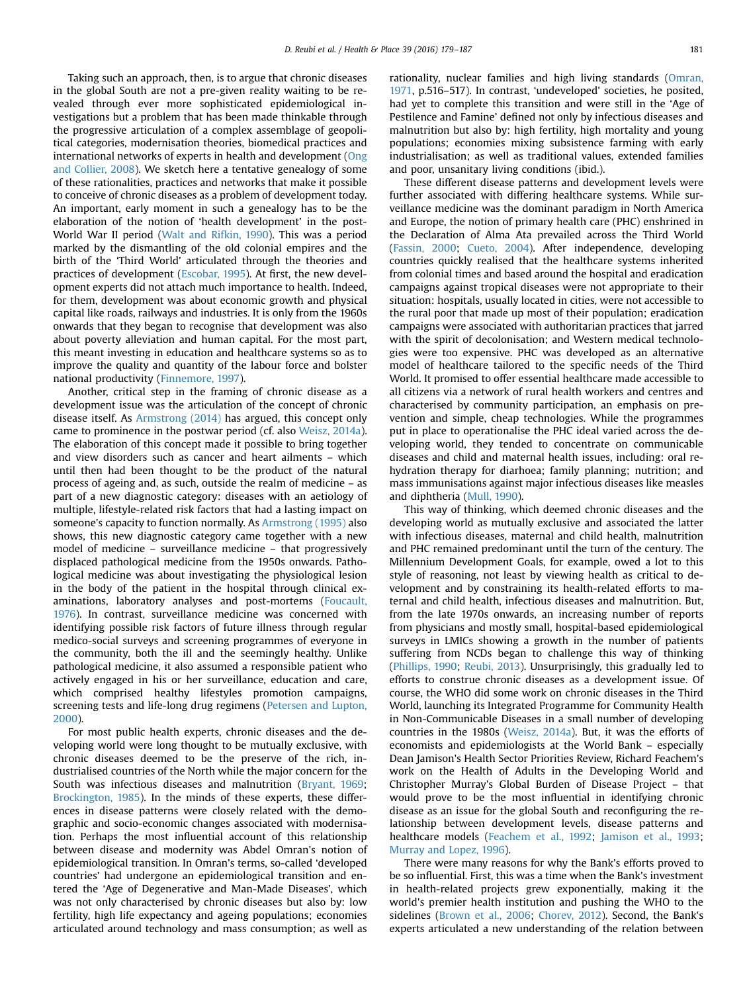Taking such an approach, then, is to argue that chronic diseases in the global South are not a pre-given reality waiting to be revealed through ever more sophisticated epidemiological investigations but a problem that has been made thinkable through the progressive articulation of a complex assemblage of geopolitical categories, modernisation theories, biomedical practices and international networks of experts in health and development [\(Ong](#page-7-0) [and Collier, 2008\)](#page-7-0). We sketch here a tentative genealogy of some of these rationalities, practices and networks that make it possible to conceive of chronic diseases as a problem of development today. An important, early moment in such a genealogy has to be the elaboration of the notion of 'health development' in the post-World War II period [\(Walt and Rifkin, 1990\)](#page-8-0). This was a period marked by the dismantling of the old colonial empires and the birth of the 'Third World' articulated through the theories and practices of development [\(Escobar, 1995](#page-7-0)). At first, the new development experts did not attach much importance to health. Indeed, for them, development was about economic growth and physical capital like roads, railways and industries. It is only from the 1960s onwards that they began to recognise that development was also about poverty alleviation and human capital. For the most part, this meant investing in education and healthcare systems so as to improve the quality and quantity of the labour force and bolster national productivity [\(Finnemore, 1997\)](#page-7-0).

Another, critical step in the framing of chronic disease as a development issue was the articulation of the concept of chronic disease itself. As [Armstrong \(2014\)](#page-6-0) has argued, this concept only came to prominence in the postwar period (cf. also [Weisz, 2014a\)](#page-8-0). The elaboration of this concept made it possible to bring together and view disorders such as cancer and heart ailments – which until then had been thought to be the product of the natural process of ageing and, as such, outside the realm of medicine – as part of a new diagnostic category: diseases with an aetiology of multiple, lifestyle-related risk factors that had a lasting impact on someone's capacity to function normally. As [Armstrong \(1995\)](#page-6-0) also shows, this new diagnostic category came together with a new model of medicine – surveillance medicine – that progressively displaced pathological medicine from the 1950s onwards. Pathological medicine was about investigating the physiological lesion in the body of the patient in the hospital through clinical examinations, laboratory analyses and post-mortems ([Foucault,](#page-7-0) [1976](#page-7-0)). In contrast, surveillance medicine was concerned with identifying possible risk factors of future illness through regular medico-social surveys and screening programmes of everyone in the community, both the ill and the seemingly healthy. Unlike pathological medicine, it also assumed a responsible patient who actively engaged in his or her surveillance, education and care, which comprised healthy lifestyles promotion campaigns, screening tests and life-long drug regimens [\(Petersen and Lupton,](#page-7-0) [2000](#page-7-0)).

For most public health experts, chronic diseases and the developing world were long thought to be mutually exclusive, with chronic diseases deemed to be the preserve of the rich, industrialised countries of the North while the major concern for the South was infectious diseases and malnutrition [\(Bryant, 1969;](#page-6-0) [Brockington, 1985](#page-6-0)). In the minds of these experts, these differences in disease patterns were closely related with the demographic and socio-economic changes associated with modernisation. Perhaps the most influential account of this relationship between disease and modernity was Abdel Omran's notion of epidemiological transition. In Omran's terms, so-called 'developed countries' had undergone an epidemiological transition and entered the 'Age of Degenerative and Man-Made Diseases', which was not only characterised by chronic diseases but also by: low fertility, high life expectancy and ageing populations; economies articulated around technology and mass consumption; as well as rationality, nuclear families and high living standards ([Omran,](#page-7-0) [1971,](#page-7-0) p.516–517). In contrast, 'undeveloped' societies, he posited, had yet to complete this transition and were still in the 'Age of Pestilence and Famine' defined not only by infectious diseases and malnutrition but also by: high fertility, high mortality and young populations; economies mixing subsistence farming with early industrialisation; as well as traditional values, extended families and poor, unsanitary living conditions (ibid.).

These different disease patterns and development levels were further associated with differing healthcare systems. While surveillance medicine was the dominant paradigm in North America and Europe, the notion of primary health care (PHC) enshrined in the Declaration of Alma Ata prevailed across the Third World ([Fassin, 2000;](#page-7-0) [Cueto, 2004](#page-7-0)). After independence, developing countries quickly realised that the healthcare systems inherited from colonial times and based around the hospital and eradication campaigns against tropical diseases were not appropriate to their situation: hospitals, usually located in cities, were not accessible to the rural poor that made up most of their population; eradication campaigns were associated with authoritarian practices that jarred with the spirit of decolonisation; and Western medical technologies were too expensive. PHC was developed as an alternative model of healthcare tailored to the specific needs of the Third World. It promised to offer essential healthcare made accessible to all citizens via a network of rural health workers and centres and characterised by community participation, an emphasis on prevention and simple, cheap technologies. While the programmes put in place to operationalise the PHC ideal varied across the developing world, they tended to concentrate on communicable diseases and child and maternal health issues, including: oral rehydration therapy for diarhoea; family planning; nutrition; and mass immunisations against major infectious diseases like measles and diphtheria ([Mull, 1990\)](#page-7-0).

This way of thinking, which deemed chronic diseases and the developing world as mutually exclusive and associated the latter with infectious diseases, maternal and child health, malnutrition and PHC remained predominant until the turn of the century. The Millennium Development Goals, for example, owed a lot to this style of reasoning, not least by viewing health as critical to development and by constraining its health-related efforts to maternal and child health, infectious diseases and malnutrition. But, from the late 1970s onwards, an increasing number of reports from physicians and mostly small, hospital-based epidemiological surveys in LMICs showing a growth in the number of patients suffering from NCDs began to challenge this way of thinking ([Phillips, 1990](#page-7-0); [Reubi, 2013](#page-7-0)). Unsurprisingly, this gradually led to efforts to construe chronic diseases as a development issue. Of course, the WHO did some work on chronic diseases in the Third World, launching its Integrated Programme for Community Health in Non-Communicable Diseases in a small number of developing countries in the 1980s [\(Weisz, 2014a\)](#page-8-0). But, it was the efforts of economists and epidemiologists at the World Bank – especially Dean Jamison's Health Sector Priorities Review, Richard Feachem's work on the Health of Adults in the Developing World and Christopher Murray's Global Burden of Disease Project – that would prove to be the most influential in identifying chronic disease as an issue for the global South and reconfiguring the relationship between development levels, disease patterns and healthcare models ([Feachem et al., 1992](#page-7-0); [Jamison et al., 1993;](#page-7-0) [Murray and Lopez, 1996\)](#page-7-0).

There were many reasons for why the Bank's efforts proved to be so influential. First, this was a time when the Bank's investment in health-related projects grew exponentially, making it the world's premier health institution and pushing the WHO to the sidelines [\(Brown et al., 2006](#page-6-0); [Chorev, 2012](#page-6-0)). Second, the Bank's experts articulated a new understanding of the relation between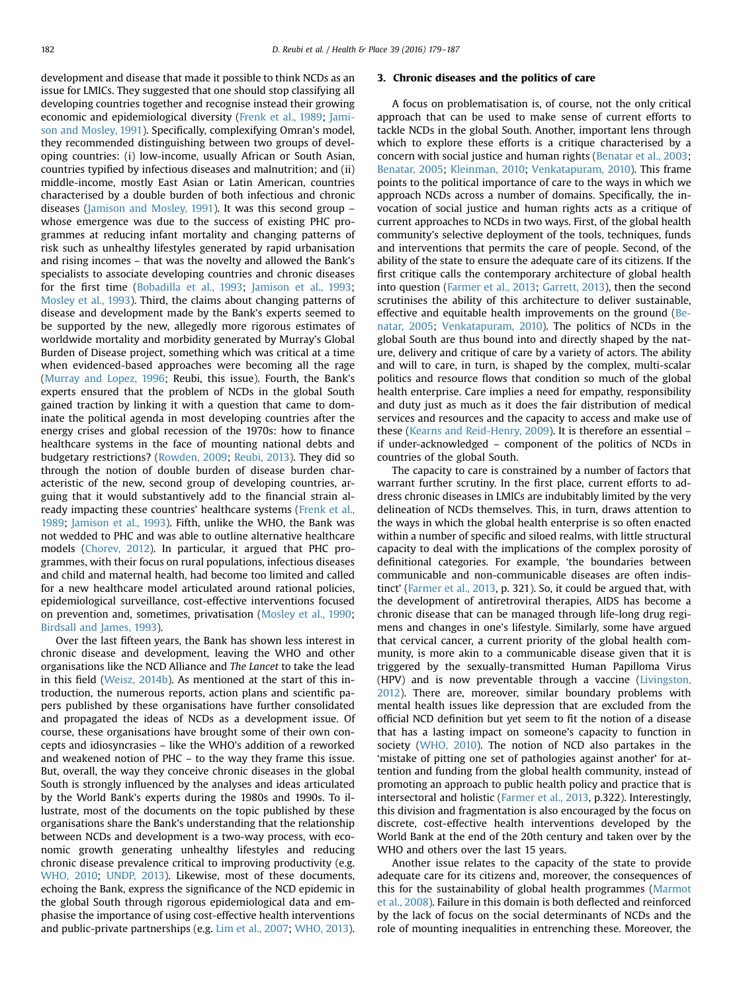development and disease that made it possible to think NCDs as an issue for LMICs. They suggested that one should stop classifying all developing countries together and recognise instead their growing economic and epidemiological diversity ([Frenk et al., 1989;](#page-7-0) [Jami](#page-7-0)[son and Mosley, 1991\)](#page-7-0). Specifically, complexifying Omran's model, they recommended distinguishing between two groups of developing countries: (i) low-income, usually African or South Asian, countries typified by infectious diseases and malnutrition; and (ii) middle-income, mostly East Asian or Latin American, countries characterised by a double burden of both infectious and chronic diseases [\(Jamison and Mosley, 1991\)](#page-7-0). It was this second group – whose emergence was due to the success of existing PHC programmes at reducing infant mortality and changing patterns of risk such as unhealthy lifestyles generated by rapid urbanisation and rising incomes – that was the novelty and allowed the Bank's specialists to associate developing countries and chronic diseases for the first time ([Bobadilla et al., 1993](#page-6-0); [Jamison et al., 1993;](#page-7-0) [Mosley et al., 1993](#page-7-0)). Third, the claims about changing patterns of disease and development made by the Bank's experts seemed to be supported by the new, allegedly more rigorous estimates of worldwide mortality and morbidity generated by Murray's Global Burden of Disease project, something which was critical at a time when evidenced-based approaches were becoming all the rage ([Murray and Lopez, 1996;](#page-7-0) Reubi, this issue). Fourth, the Bank's experts ensured that the problem of NCDs in the global South gained traction by linking it with a question that came to dominate the political agenda in most developing countries after the energy crises and global recession of the 1970s: how to finance healthcare systems in the face of mounting national debts and budgetary restrictions? ([Rowden, 2009;](#page-7-0) [Reubi, 2013\)](#page-7-0). They did so through the notion of double burden of disease burden characteristic of the new, second group of developing countries, arguing that it would substantively add to the financial strain already impacting these countries' healthcare systems [\(Frenk et al.,](#page-7-0) [1989](#page-7-0); [Jamison et al., 1993\)](#page-7-0). Fifth, unlike the WHO, the Bank was not wedded to PHC and was able to outline alternative healthcare models [\(Chorev, 2012\)](#page-6-0). In particular, it argued that PHC programmes, with their focus on rural populations, infectious diseases and child and maternal health, had become too limited and called for a new healthcare model articulated around rational policies, epidemiological surveillance, cost-effective interventions focused on prevention and, sometimes, privatisation ([Mosley et al., 1990;](#page-7-0) [Birdsall and James, 1993\)](#page-6-0).

Over the last fifteen years, the Bank has shown less interest in chronic disease and development, leaving the WHO and other organisations like the NCD Alliance and The Lancet to take the lead in this field [\(Weisz, 2014b](#page-8-0)). As mentioned at the start of this introduction, the numerous reports, action plans and scientific papers published by these organisations have further consolidated and propagated the ideas of NCDs as a development issue. Of course, these organisations have brought some of their own concepts and idiosyncrasies – like the WHO's addition of a reworked and weakened notion of PHC – to the way they frame this issue. But, overall, the way they conceive chronic diseases in the global South is strongly influenced by the analyses and ideas articulated by the World Bank's experts during the 1980s and 1990s. To illustrate, most of the documents on the topic published by these organisations share the Bank's understanding that the relationship between NCDs and development is a two-way process, with economic growth generating unhealthy lifestyles and reducing chronic disease prevalence critical to improving productivity (e.g. [WHO, 2010;](#page-8-0) [UNDP, 2013\)](#page-8-0). Likewise, most of these documents, echoing the Bank, express the significance of the NCD epidemic in the global South through rigorous epidemiological data and emphasise the importance of using cost-effective health interventions and public-private partnerships (e.g. [Lim et al., 2007;](#page-7-0) [WHO, 2013\)](#page-8-0).

#### 3. Chronic diseases and the politics of care

A focus on problematisation is, of course, not the only critical approach that can be used to make sense of current efforts to tackle NCDs in the global South. Another, important lens through which to explore these efforts is a critique characterised by a concern with social justice and human rights ([Benatar et al., 2003;](#page-6-0) [Benatar, 2005](#page-6-0); [Kleinman, 2010;](#page-7-0) [Venkatapuram, 2010](#page-8-0)). This frame points to the political importance of care to the ways in which we approach NCDs across a number of domains. Specifically, the invocation of social justice and human rights acts as a critique of current approaches to NCDs in two ways. First, of the global health community's selective deployment of the tools, techniques, funds and interventions that permits the care of people. Second, of the ability of the state to ensure the adequate care of its citizens. If the first critique calls the contemporary architecture of global health into question ([Farmer et al., 2013](#page-7-0); [Garrett, 2013\)](#page-7-0), then the second scrutinises the ability of this architecture to deliver sustainable, effective and equitable health improvements on the ground [\(Be](#page-6-0)[natar, 2005;](#page-6-0) [Venkatapuram, 2010\)](#page-8-0). The politics of NCDs in the global South are thus bound into and directly shaped by the nature, delivery and critique of care by a variety of actors. The ability and will to care, in turn, is shaped by the complex, multi-scalar politics and resource flows that condition so much of the global health enterprise. Care implies a need for empathy, responsibility and duty just as much as it does the fair distribution of medical services and resources and the capacity to access and make use of these ([Kearns and Reid-Henry, 2009](#page-7-0)). It is therefore an essential – if under-acknowledged – component of the politics of NCDs in countries of the global South.

The capacity to care is constrained by a number of factors that warrant further scrutiny. In the first place, current efforts to address chronic diseases in LMICs are indubitably limited by the very delineation of NCDs themselves. This, in turn, draws attention to the ways in which the global health enterprise is so often enacted within a number of specific and siloed realms, with little structural capacity to deal with the implications of the complex porosity of definitional categories. For example, 'the boundaries between communicable and non-communicable diseases are often indistinct' [\(Farmer et al., 2013](#page-7-0), p. 321). So, it could be argued that, with the development of antiretroviral therapies, AIDS has become a chronic disease that can be managed through life-long drug regimens and changes in one's lifestyle. Similarly, some have argued that cervical cancer, a current priority of the global health community, is more akin to a communicable disease given that it is triggered by the sexually-transmitted Human Papilloma Virus (HPV) and is now preventable through a vaccine ([Livingston,](#page-7-0) [2012](#page-7-0)). There are, moreover, similar boundary problems with mental health issues like depression that are excluded from the official NCD definition but yet seem to fit the notion of a disease that has a lasting impact on someone's capacity to function in society ([WHO, 2010](#page-8-0)). The notion of NCD also partakes in the 'mistake of pitting one set of pathologies against another' for attention and funding from the global health community, instead of promoting an approach to public health policy and practice that is intersectoral and holistic ([Farmer et al., 2013,](#page-7-0) p.322). Interestingly, this division and fragmentation is also encouraged by the focus on discrete, cost-effective health interventions developed by the World Bank at the end of the 20th century and taken over by the WHO and others over the last 15 years.

Another issue relates to the capacity of the state to provide adequate care for its citizens and, moreover, the consequences of this for the sustainability of global health programmes [\(Marmot](#page-7-0) [et al., 2008\)](#page-7-0). Failure in this domain is both deflected and reinforced by the lack of focus on the social determinants of NCDs and the role of mounting inequalities in entrenching these. Moreover, the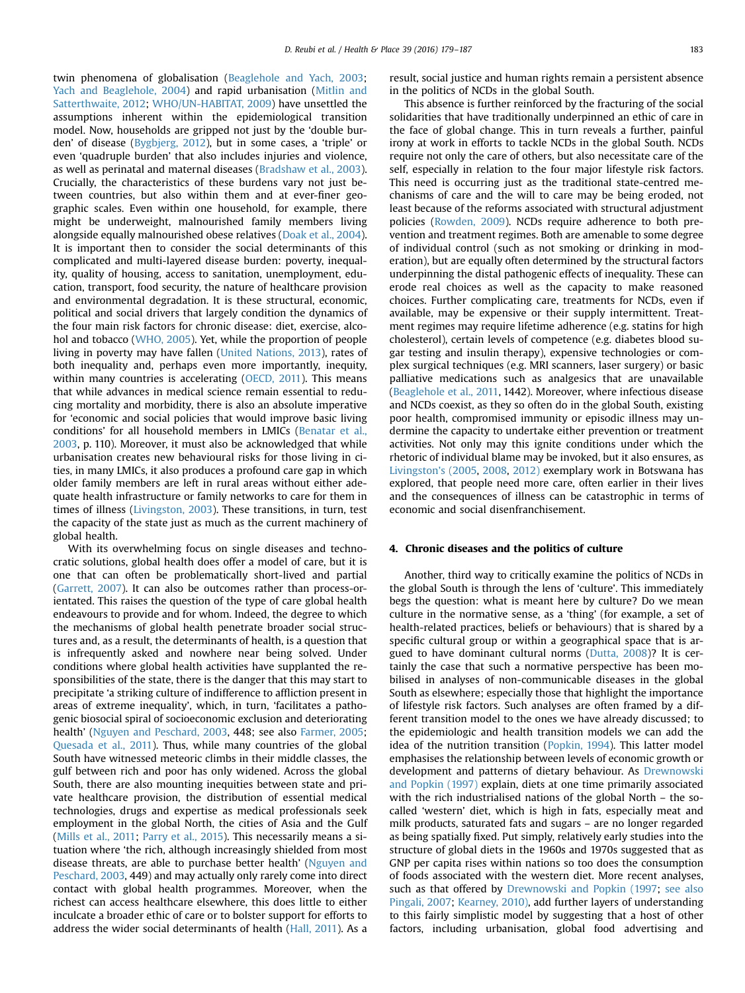twin phenomena of globalisation ([Beaglehole and Yach, 2003;](#page-6-0) [Yach and Beaglehole, 2004\)](#page-8-0) and rapid urbanisation [\(Mitlin and](#page-7-0) [Satterthwaite, 2012](#page-7-0); [WHO/UN-HABITAT, 2009](#page-8-0)) have unsettled the assumptions inherent within the epidemiological transition model. Now, households are gripped not just by the 'double burden' of disease [\(Bygbjerg, 2012\)](#page-6-0), but in some cases, a 'triple' or even 'quadruple burden' that also includes injuries and violence, as well as perinatal and maternal diseases [\(Bradshaw et al., 2003\)](#page-6-0). Crucially, the characteristics of these burdens vary not just between countries, but also within them and at ever-finer geographic scales. Even within one household, for example, there might be underweight, malnourished family members living alongside equally malnourished obese relatives ([Doak et al., 2004\)](#page-7-0). It is important then to consider the social determinants of this complicated and multi-layered disease burden: poverty, inequality, quality of housing, access to sanitation, unemployment, education, transport, food security, the nature of healthcare provision and environmental degradation. It is these structural, economic, political and social drivers that largely condition the dynamics of the four main risk factors for chronic disease: diet, exercise, alcohol and tobacco [\(WHO, 2005\)](#page-8-0). Yet, while the proportion of people living in poverty may have fallen [\(United Nations, 2013\)](#page-8-0), rates of both inequality and, perhaps even more importantly, inequity, within many countries is accelerating [\(OECD, 2011](#page-7-0)). This means that while advances in medical science remain essential to reducing mortality and morbidity, there is also an absolute imperative for 'economic and social policies that would improve basic living conditions' for all household members in LMICs [\(Benatar et al.,](#page-6-0) [2003,](#page-6-0) p. 110). Moreover, it must also be acknowledged that while urbanisation creates new behavioural risks for those living in cities, in many LMICs, it also produces a profound care gap in which older family members are left in rural areas without either adequate health infrastructure or family networks to care for them in times of illness ([Livingston, 2003\)](#page-7-0). These transitions, in turn, test the capacity of the state just as much as the current machinery of global health.

With its overwhelming focus on single diseases and technocratic solutions, global health does offer a model of care, but it is one that can often be problematically short-lived and partial ([Garrett, 2007](#page-7-0)). It can also be outcomes rather than process-orientated. This raises the question of the type of care global health endeavours to provide and for whom. Indeed, the degree to which the mechanisms of global health penetrate broader social structures and, as a result, the determinants of health, is a question that is infrequently asked and nowhere near being solved. Under conditions where global health activities have supplanted the responsibilities of the state, there is the danger that this may start to precipitate 'a striking culture of indifference to affliction present in areas of extreme inequality', which, in turn, 'facilitates a pathogenic biosocial spiral of socioeconomic exclusion and deteriorating health' [\(Nguyen and Peschard, 2003,](#page-7-0) 448; see also [Farmer, 2005;](#page-7-0) [Quesada et al., 2011\)](#page-7-0). Thus, while many countries of the global South have witnessed meteoric climbs in their middle classes, the gulf between rich and poor has only widened. Across the global South, there are also mounting inequities between state and private healthcare provision, the distribution of essential medical technologies, drugs and expertise as medical professionals seek employment in the global North, the cities of Asia and the Gulf ([Mills et al., 2011](#page-7-0); [Parry et al., 2015\)](#page-7-0). This necessarily means a situation where 'the rich, although increasingly shielded from most disease threats, are able to purchase better health' ([Nguyen and](#page-7-0) [Peschard, 2003,](#page-7-0) 449) and may actually only rarely come into direct contact with global health programmes. Moreover, when the richest can access healthcare elsewhere, this does little to either inculcate a broader ethic of care or to bolster support for efforts to address the wider social determinants of health ([Hall, 2011\)](#page-7-0). As a result, social justice and human rights remain a persistent absence in the politics of NCDs in the global South.

This absence is further reinforced by the fracturing of the social solidarities that have traditionally underpinned an ethic of care in the face of global change. This in turn reveals a further, painful irony at work in efforts to tackle NCDs in the global South. NCDs require not only the care of others, but also necessitate care of the self, especially in relation to the four major lifestyle risk factors. This need is occurring just as the traditional state-centred mechanisms of care and the will to care may be being eroded, not least because of the reforms associated with structural adjustment policies ([Rowden, 2009\)](#page-7-0). NCDs require adherence to both prevention and treatment regimes. Both are amenable to some degree of individual control (such as not smoking or drinking in moderation), but are equally often determined by the structural factors underpinning the distal pathogenic effects of inequality. These can erode real choices as well as the capacity to make reasoned choices. Further complicating care, treatments for NCDs, even if available, may be expensive or their supply intermittent. Treatment regimes may require lifetime adherence (e.g. statins for high cholesterol), certain levels of competence (e.g. diabetes blood sugar testing and insulin therapy), expensive technologies or complex surgical techniques (e.g. MRI scanners, laser surgery) or basic palliative medications such as analgesics that are unavailable ([Beaglehole et al., 2011,](#page-6-0) 1442). Moreover, where infectious disease and NCDs coexist, as they so often do in the global South, existing poor health, compromised immunity or episodic illness may undermine the capacity to undertake either prevention or treatment activities. Not only may this ignite conditions under which the rhetoric of individual blame may be invoked, but it also ensures, as [Livingston's \(2005](#page-7-0), [2008](#page-7-0), [2012\)](#page-7-0) exemplary work in Botswana has explored, that people need more care, often earlier in their lives and the consequences of illness can be catastrophic in terms of economic and social disenfranchisement.

### 4. Chronic diseases and the politics of culture

Another, third way to critically examine the politics of NCDs in the global South is through the lens of 'culture'. This immediately begs the question: what is meant here by culture? Do we mean culture in the normative sense, as a 'thing' (for example, a set of health-related practices, beliefs or behaviours) that is shared by a specific cultural group or within a geographical space that is ar-gued to have dominant cultural norms ([Dutta, 2008\)](#page-7-0)? It is certainly the case that such a normative perspective has been mobilised in analyses of non-communicable diseases in the global South as elsewhere; especially those that highlight the importance of lifestyle risk factors. Such analyses are often framed by a different transition model to the ones we have already discussed; to the epidemiologic and health transition models we can add the idea of the nutrition transition ([Popkin, 1994](#page-7-0)). This latter model emphasises the relationship between levels of economic growth or development and patterns of dietary behaviour. As [Drewnowski](#page-7-0) [and Popkin \(1997\)](#page-7-0) explain, diets at one time primarily associated with the rich industrialised nations of the global North – the socalled 'western' diet, which is high in fats, especially meat and milk products, saturated fats and sugars – are no longer regarded as being spatially fixed. Put simply, relatively early studies into the structure of global diets in the 1960s and 1970s suggested that as GNP per capita rises within nations so too does the consumption of foods associated with the western diet. More recent analyses, such as that offered by [Drewnowski and Popkin \(1997](#page-7-0); [see also](#page-7-0) [Pingali, 2007;](#page-7-0) [Kearney, 2010\)](#page-7-0), add further layers of understanding to this fairly simplistic model by suggesting that a host of other factors, including urbanisation, global food advertising and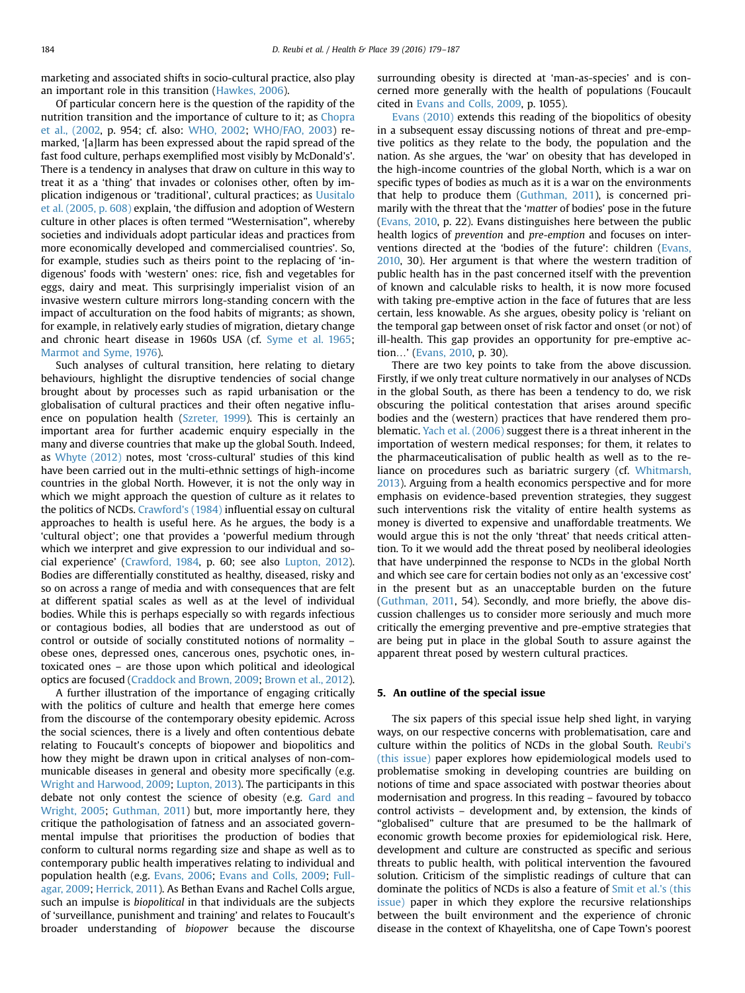marketing and associated shifts in socio-cultural practice, also play an important role in this transition ([Hawkes, 2006\)](#page-7-0).

Of particular concern here is the question of the rapidity of the nutrition transition and the importance of culture to it; as [Chopra](#page-6-0) [et al., \(2002](#page-6-0), p. 954; cf. also: [WHO, 2002](#page-8-0); [WHO/FAO, 2003](#page-8-0)) remarked, '[a]larm has been expressed about the rapid spread of the fast food culture, perhaps exemplified most visibly by McDonald's'. There is a tendency in analyses that draw on culture in this way to treat it as a 'thing' that invades or colonises other, often by implication indigenous or 'traditional', cultural practices; as [Uusitalo](#page-8-0) [et al. \(2005, p. 608\)](#page-8-0) explain, 'the diffusion and adoption of Western culture in other places is often termed "Westernisation", whereby societies and individuals adopt particular ideas and practices from more economically developed and commercialised countries'. So, for example, studies such as theirs point to the replacing of 'indigenous' foods with 'western' ones: rice, fish and vegetables for eggs, dairy and meat. This surprisingly imperialist vision of an invasive western culture mirrors long-standing concern with the impact of acculturation on the food habits of migrants; as shown, for example, in relatively early studies of migration, dietary change and chronic heart disease in 1960s USA (cf. [Syme et al. 1965;](#page-8-0) [Marmot and Syme, 1976\)](#page-7-0).

Such analyses of cultural transition, here relating to dietary behaviours, highlight the disruptive tendencies of social change brought about by processes such as rapid urbanisation or the globalisation of cultural practices and their often negative influence on population health [\(Szreter, 1999\)](#page-8-0). This is certainly an important area for further academic enquiry especially in the many and diverse countries that make up the global South. Indeed, as [Whyte \(2012\)](#page-8-0) notes, most 'cross-cultural' studies of this kind have been carried out in the multi-ethnic settings of high-income countries in the global North. However, it is not the only way in which we might approach the question of culture as it relates to the politics of NCDs. [Crawford's \(1984\)](#page-7-0) influential essay on cultural approaches to health is useful here. As he argues, the body is a 'cultural object'; one that provides a 'powerful medium through which we interpret and give expression to our individual and social experience' [\(Crawford, 1984,](#page-7-0) p. 60; see also [Lupton, 2012\)](#page-7-0). Bodies are differentially constituted as healthy, diseased, risky and so on across a range of media and with consequences that are felt at different spatial scales as well as at the level of individual bodies. While this is perhaps especially so with regards infectious or contagious bodies, all bodies that are understood as out of control or outside of socially constituted notions of normality – obese ones, depressed ones, cancerous ones, psychotic ones, intoxicated ones – are those upon which political and ideological optics are focused [\(Craddock and Brown, 2009;](#page-6-0) [Brown et al., 2012\)](#page-6-0).

A further illustration of the importance of engaging critically with the politics of culture and health that emerge here comes from the discourse of the contemporary obesity epidemic. Across the social sciences, there is a lively and often contentious debate relating to Foucault's concepts of biopower and biopolitics and how they might be drawn upon in critical analyses of non-communicable diseases in general and obesity more specifically (e.g. [Wright and Harwood, 2009](#page-8-0); [Lupton, 2013\)](#page-7-0). The participants in this debate not only contest the science of obesity (e.g. [Gard and](#page-7-0) [Wright, 2005;](#page-7-0) [Guthman, 2011\)](#page-7-0) but, more importantly here, they critique the pathologisation of fatness and an associated governmental impulse that prioritises the production of bodies that conform to cultural norms regarding size and shape as well as to contemporary public health imperatives relating to individual and population health (e.g. [Evans, 2006;](#page-7-0) [Evans and Colls, 2009;](#page-7-0) [Full](#page-7-0)[agar, 2009;](#page-7-0) [Herrick, 2011\)](#page-7-0). As Bethan Evans and Rachel Colls argue, such an impulse is biopolitical in that individuals are the subjects of 'surveillance, punishment and training' and relates to Foucault's broader understanding of biopower because the discourse

surrounding obesity is directed at 'man-as-species' and is concerned more generally with the health of populations (Foucault cited in [Evans and Colls, 2009,](#page-7-0) p. 1055).

[Evans \(2010\)](#page-7-0) extends this reading of the biopolitics of obesity in a subsequent essay discussing notions of threat and pre-emptive politics as they relate to the body, the population and the nation. As she argues, the 'war' on obesity that has developed in the high-income countries of the global North, which is a war on specific types of bodies as much as it is a war on the environments that help to produce them [\(Guthman, 2011\)](#page-7-0), is concerned primarily with the threat that the 'matter of bodies' pose in the future ([Evans, 2010,](#page-7-0) p. 22). Evans distinguishes here between the public health logics of *prevention* and *pre-emption* and focuses on interventions directed at the 'bodies of the future': children [\(Evans,](#page-7-0) [2010,](#page-7-0) 30). Her argument is that where the western tradition of public health has in the past concerned itself with the prevention of known and calculable risks to health, it is now more focused with taking pre-emptive action in the face of futures that are less certain, less knowable. As she argues, obesity policy is 'reliant on the temporal gap between onset of risk factor and onset (or not) of ill-health. This gap provides an opportunity for pre-emptive action…' ([Evans, 2010,](#page-7-0) p. 30).

There are two key points to take from the above discussion. Firstly, if we only treat culture normatively in our analyses of NCDs in the global South, as there has been a tendency to do, we risk obscuring the political contestation that arises around specific bodies and the (western) practices that have rendered them problematic. [Yach et al. \(2006\)](#page-8-0) suggest there is a threat inherent in the importation of western medical responses; for them, it relates to the pharmaceuticalisation of public health as well as to the reliance on procedures such as bariatric surgery (cf. [Whitmarsh,](#page-8-0) [2013\)](#page-8-0). Arguing from a health economics perspective and for more emphasis on evidence-based prevention strategies, they suggest such interventions risk the vitality of entire health systems as money is diverted to expensive and unaffordable treatments. We would argue this is not the only 'threat' that needs critical attention. To it we would add the threat posed by neoliberal ideologies that have underpinned the response to NCDs in the global North and which see care for certain bodies not only as an 'excessive cost' in the present but as an unacceptable burden on the future ([Guthman, 2011,](#page-7-0) 54). Secondly, and more briefly, the above discussion challenges us to consider more seriously and much more critically the emerging preventive and pre-emptive strategies that are being put in place in the global South to assure against the apparent threat posed by western cultural practices.

#### 5. An outline of the special issue

The six papers of this special issue help shed light, in varying ways, on our respective concerns with problematisation, care and culture within the politics of NCDs in the global South. [Reubi's](#page-7-0) [\(this issue\)](#page-7-0) paper explores how epidemiological models used to problematise smoking in developing countries are building on notions of time and space associated with postwar theories about modernisation and progress. In this reading – favoured by tobacco control activists – development and, by extension, the kinds of "globalised" culture that are presumed to be the hallmark of economic growth become proxies for epidemiological risk. Here, development and culture are constructed as specific and serious threats to public health, with political intervention the favoured solution. Criticism of the simplistic readings of culture that can dominate the politics of NCDs is also a feature of [Smit et al.'s \(this](#page-8-0) [issue\)](#page-8-0) paper in which they explore the recursive relationships between the built environment and the experience of chronic disease in the context of Khayelitsha, one of Cape Town's poorest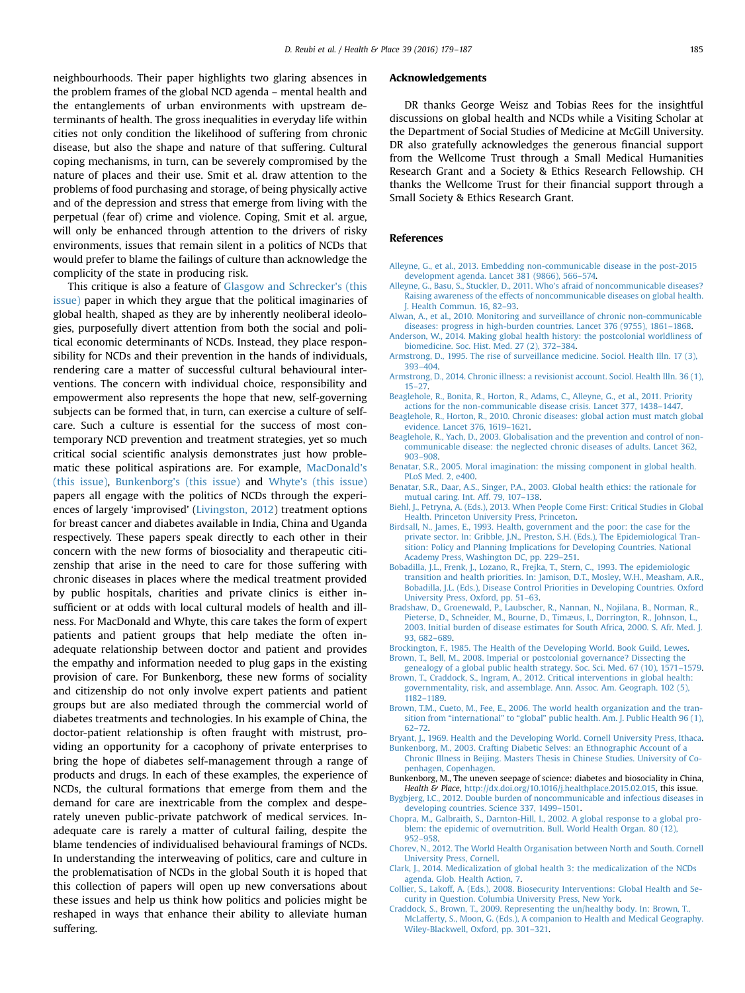<span id="page-6-0"></span>neighbourhoods. Their paper highlights two glaring absences in the problem frames of the global NCD agenda – mental health and the entanglements of urban environments with upstream determinants of health. The gross inequalities in everyday life within cities not only condition the likelihood of suffering from chronic disease, but also the shape and nature of that suffering. Cultural coping mechanisms, in turn, can be severely compromised by the nature of places and their use. Smit et al. draw attention to the problems of food purchasing and storage, of being physically active and of the depression and stress that emerge from living with the perpetual (fear of) crime and violence. Coping, Smit et al. argue, will only be enhanced through attention to the drivers of risky environments, issues that remain silent in a politics of NCDs that would prefer to blame the failings of culture than acknowledge the complicity of the state in producing risk.

This critique is also a feature of [Glasgow and Schrecker's \(this](#page-7-0) [issue\)](#page-7-0) paper in which they argue that the political imaginaries of global health, shaped as they are by inherently neoliberal ideologies, purposefully divert attention from both the social and political economic determinants of NCDs. Instead, they place responsibility for NCDs and their prevention in the hands of individuals, rendering care a matter of successful cultural behavioural interventions. The concern with individual choice, responsibility and empowerment also represents the hope that new, self-governing subjects can be formed that, in turn, can exercise a culture of selfcare. Such a culture is essential for the success of most contemporary NCD prevention and treatment strategies, yet so much critical social scientific analysis demonstrates just how problematic these political aspirations are. For example, [MacDonald's](#page-7-0) [\(this issue\)](#page-7-0), Bunkenborg's (this issue) and [Whyte's \(this issue\)](#page-8-0) papers all engage with the politics of NCDs through the experiences of largely 'improvised' ([Livingston, 2012](#page-7-0)) treatment options for breast cancer and diabetes available in India, China and Uganda respectively. These papers speak directly to each other in their concern with the new forms of biosociality and therapeutic citizenship that arise in the need to care for those suffering with chronic diseases in places where the medical treatment provided by public hospitals, charities and private clinics is either insufficient or at odds with local cultural models of health and illness. For MacDonald and Whyte, this care takes the form of expert patients and patient groups that help mediate the often inadequate relationship between doctor and patient and provides the empathy and information needed to plug gaps in the existing provision of care. For Bunkenborg, these new forms of sociality and citizenship do not only involve expert patients and patient groups but are also mediated through the commercial world of diabetes treatments and technologies. In his example of China, the doctor-patient relationship is often fraught with mistrust, providing an opportunity for a cacophony of private enterprises to bring the hope of diabetes self-management through a range of products and drugs. In each of these examples, the experience of NCDs, the cultural formations that emerge from them and the demand for care are inextricable from the complex and desperately uneven public-private patchwork of medical services. Inadequate care is rarely a matter of cultural failing, despite the blame tendencies of individualised behavioural framings of NCDs. In understanding the interweaving of politics, care and culture in the problematisation of NCDs in the global South it is hoped that this collection of papers will open up new conversations about these issues and help us think how politics and policies might be reshaped in ways that enhance their ability to alleviate human suffering.

#### Acknowledgements

DR thanks George Weisz and Tobias Rees for the insightful discussions on global health and NCDs while a Visiting Scholar at the Department of Social Studies of Medicine at McGill University. DR also gratefully acknowledges the generous financial support from the Wellcome Trust through a Small Medical Humanities Research Grant and a Society & Ethics Research Fellowship. CH thanks the Wellcome Trust for their financial support through a Small Society & Ethics Research Grant.

## References

- [Alleyne, G., et al., 2013. Embedding non-communicable disease in the post-2015](http://refhub.elsevier.com/S1353-8292(15)00120-3/sbref1) [development agenda. Lancet 381 \(9866\), 566](http://refhub.elsevier.com/S1353-8292(15)00120-3/sbref1)–574.
- [Alleyne, G., Basu, S., Stuckler, D., 2011. Who's afraid of noncommunicable diseases?](http://refhub.elsevier.com/S1353-8292(15)00120-3/sbref2) [Raising awareness of the effects of noncommunicable diseases on global health.](http://refhub.elsevier.com/S1353-8292(15)00120-3/sbref2) [J. Health Commun. 16, 82](http://refhub.elsevier.com/S1353-8292(15)00120-3/sbref2)–93.
- [Alwan, A., et al., 2010. Monitoring and surveillance of chronic non-communicable](http://refhub.elsevier.com/S1353-8292(15)00120-3/sbref3) [diseases: progress in high-burden countries. Lancet 376 \(9755\), 1861](http://refhub.elsevier.com/S1353-8292(15)00120-3/sbref3)–1868.
- [Anderson, W., 2014. Making global health history: the postcolonial worldliness of](http://refhub.elsevier.com/S1353-8292(15)00120-3/sbref4) [biomedicine. Soc. Hist. Med. 27 \(2\), 372](http://refhub.elsevier.com/S1353-8292(15)00120-3/sbref4)–384.
- [Armstrong, D., 1995. The rise of surveillance medicine. Sociol. Health Illn. 17 \(3\),](http://refhub.elsevier.com/S1353-8292(15)00120-3/sbref5) [393](http://refhub.elsevier.com/S1353-8292(15)00120-3/sbref5)–[404.](http://refhub.elsevier.com/S1353-8292(15)00120-3/sbref5)
- [Armstrong, D., 2014. Chronic illness: a revisionist account. Sociol. Health Illn. 36 \(1\),](http://refhub.elsevier.com/S1353-8292(15)00120-3/sbref6) [15](http://refhub.elsevier.com/S1353-8292(15)00120-3/sbref6)–[27.](http://refhub.elsevier.com/S1353-8292(15)00120-3/sbref6)
- [Beaglehole, R., Bonita, R., Horton, R., Adams, C., Alleyne, G., et al., 2011. Priority](http://refhub.elsevier.com/S1353-8292(15)00120-3/sbref7) [actions for the non-communicable disease crisis. Lancet 377, 1438](http://refhub.elsevier.com/S1353-8292(15)00120-3/sbref7)–1447.
- [Beaglehole, R., Horton, R., 2010. Chronic diseases: global action must match global](http://refhub.elsevier.com/S1353-8292(15)00120-3/sbref8) [evidence. Lancet 376, 1619](http://refhub.elsevier.com/S1353-8292(15)00120-3/sbref8)–1621.
- [Beaglehole, R., Yach, D., 2003. Globalisation and the prevention and control of non](http://refhub.elsevier.com/S1353-8292(15)00120-3/sbref9)[communicable disease: the neglected chronic diseases of adults. Lancet 362,](http://refhub.elsevier.com/S1353-8292(15)00120-3/sbref9) [903](http://refhub.elsevier.com/S1353-8292(15)00120-3/sbref9)–[908.](http://refhub.elsevier.com/S1353-8292(15)00120-3/sbref9)
- [Benatar, S.R., 2005. Moral imagination: the missing component in global health.](http://refhub.elsevier.com/S1353-8292(15)00120-3/sbref10) [PLoS Med. 2, e400.](http://refhub.elsevier.com/S1353-8292(15)00120-3/sbref10)
- [Benatar, S.R., Daar, A.S., Singer, P.A., 2003. Global health ethics: the rationale for](http://refhub.elsevier.com/S1353-8292(15)00120-3/sbref11) [mutual caring. Int. Aff. 79, 107](http://refhub.elsevier.com/S1353-8292(15)00120-3/sbref11)–138.
- [Biehl, J., Petryna, A. \(Eds.\), 2013. When People Come First: Critical Studies in Global](http://refhub.elsevier.com/S1353-8292(15)00120-3/sbref12) [Health. Princeton University Press, Princeton.](http://refhub.elsevier.com/S1353-8292(15)00120-3/sbref12)
- [Birdsall, N., James, E., 1993. Health, government and the poor: the case for the](http://refhub.elsevier.com/S1353-8292(15)00120-3/sbref13) [private sector. In: Gribble, J.N., Preston, S.H. \(Eds.\), The Epidemiological Tran](http://refhub.elsevier.com/S1353-8292(15)00120-3/sbref13)[sition: Policy and Planning Implications for Developing Countries. National](http://refhub.elsevier.com/S1353-8292(15)00120-3/sbref13) [Academy Press, Washington DC, pp. 229](http://refhub.elsevier.com/S1353-8292(15)00120-3/sbref13)–251.
- [Bobadilla, J.L., Frenk, J., Lozano, R., Frejka, T., Stern, C., 1993. The epidemiologic](http://refhub.elsevier.com/S1353-8292(15)00120-3/sbref14) [transition and health priorities. In: Jamison, D.T., Mosley, W.H., Measham, A.R.,](http://refhub.elsevier.com/S1353-8292(15)00120-3/sbref14) [Bobadilla, J.L. \(Eds.\), Disease Control Priorities in Developing Countries. Oxford](http://refhub.elsevier.com/S1353-8292(15)00120-3/sbref14) [University Press, Oxford, pp. 51](http://refhub.elsevier.com/S1353-8292(15)00120-3/sbref14)–63.
- [Bradshaw, D., Groenewald, P., Laubscher, R., Nannan, N., Nojilana, B., Norman, R.,](http://refhub.elsevier.com/S1353-8292(15)00120-3/sbref15) [Pieterse, D., Schneider, M., Bourne, D., Timæus, I., Dorrington, R., Johnson, L.,](http://refhub.elsevier.com/S1353-8292(15)00120-3/sbref15) [2003. Initial burden of disease estimates for South Africa, 2000. S. Afr. Med. J.](http://refhub.elsevier.com/S1353-8292(15)00120-3/sbref15) [93, 682](http://refhub.elsevier.com/S1353-8292(15)00120-3/sbref15)–689.

[Brockington, F., 1985. The Health of the Developing World. Book Guild, Lewes.](http://refhub.elsevier.com/S1353-8292(15)00120-3/sbref16) [Brown, T., Bell, M., 2008. Imperial or postcolonial governance? Dissecting the](http://refhub.elsevier.com/S1353-8292(15)00120-3/sbref17)

- [genealogy of a global public health strategy. Soc. Sci. Med. 67 \(10\), 1571](http://refhub.elsevier.com/S1353-8292(15)00120-3/sbref17)–1579. [Brown, T., Craddock, S., Ingram, A., 2012. Critical interventions in global health:](http://refhub.elsevier.com/S1353-8292(15)00120-3/sbref18) [governmentality, risk, and assemblage. Ann. Assoc. Am. Geograph. 102 \(5\),](http://refhub.elsevier.com/S1353-8292(15)00120-3/sbref18) [1182](http://refhub.elsevier.com/S1353-8292(15)00120-3/sbref18)–[1189.](http://refhub.elsevier.com/S1353-8292(15)00120-3/sbref18)
- [Brown, T.M., Cueto, M., Fee, E., 2006. The world health organization and the tran](http://refhub.elsevier.com/S1353-8292(15)00120-3/sbref19)sition from "international" to "global" [public health. Am. J. Public Health 96 \(1\),](http://refhub.elsevier.com/S1353-8292(15)00120-3/sbref19) [62](http://refhub.elsevier.com/S1353-8292(15)00120-3/sbref19)–[72.](http://refhub.elsevier.com/S1353-8292(15)00120-3/sbref19)
- [Bryant, J., 1969. Health and the Developing World. Cornell University Press, Ithaca.](http://refhub.elsevier.com/S1353-8292(15)00120-3/sbref20) [Bunkenborg, M., 2003. Crafting Diabetic Selves: an Ethnographic Account of a](http://refhub.elsevier.com/S1353-8292(15)00120-3/sbref21)
- [Chronic Illness in Beijing. Masters Thesis in Chinese Studies. University of Co](http://refhub.elsevier.com/S1353-8292(15)00120-3/sbref21)[penhagen, Copenhagen.](http://refhub.elsevier.com/S1353-8292(15)00120-3/sbref21)
- Bunkenborg, M., The uneven seepage of science: diabetes and biosociality in China, Health & Place, <http://dx.doi.org/10.1016/j.healthplace.2015.02.015>, this issue.
- [Bygbjerg, I.C., 2012. Double burden of noncommunicable and infectious diseases in](http://refhub.elsevier.com/S1353-8292(15)00120-3/sbref22) [developing countries. Science 337, 1499](http://refhub.elsevier.com/S1353-8292(15)00120-3/sbref22)–1501. [Chopra, M., Galbraith, S., Darnton-Hill, I., 2002. A global response to a global pro-](http://refhub.elsevier.com/S1353-8292(15)00120-3/sbref23)
- [blem: the epidemic of overnutrition. Bull. World Health Organ. 80 \(12\),](http://refhub.elsevier.com/S1353-8292(15)00120-3/sbref23) [952](http://refhub.elsevier.com/S1353-8292(15)00120-3/sbref23)–[958.](http://refhub.elsevier.com/S1353-8292(15)00120-3/sbref23)
- [Chorev, N., 2012. The World Health Organisation between North and South. Cornell](http://refhub.elsevier.com/S1353-8292(15)00120-3/sbref24) [University Press, Cornell.](http://refhub.elsevier.com/S1353-8292(15)00120-3/sbref24)
- [Clark, J., 2014. Medicalization of global health 3: the medicalization of the NCDs](http://refhub.elsevier.com/S1353-8292(15)00120-3/sbref25) [agenda. Glob. Health Action, 7.](http://refhub.elsevier.com/S1353-8292(15)00120-3/sbref25)
- [Collier, S., Lakoff, A. \(Eds.\), 2008. Biosecurity Interventions: Global Health and Se](http://refhub.elsevier.com/S1353-8292(15)00120-3/sbref26)[curity in Question. Columbia University Press, New York.](http://refhub.elsevier.com/S1353-8292(15)00120-3/sbref26)
- [Craddock, S., Brown, T., 2009. Representing the un/healthy body. In: Brown, T.,](http://refhub.elsevier.com/S1353-8292(15)00120-3/sbref27) [McLafferty, S., Moon, G. \(Eds.\), A companion to Health and Medical Geography.](http://refhub.elsevier.com/S1353-8292(15)00120-3/sbref27) [Wiley-Blackwell, Oxford, pp. 301](http://refhub.elsevier.com/S1353-8292(15)00120-3/sbref27)–321.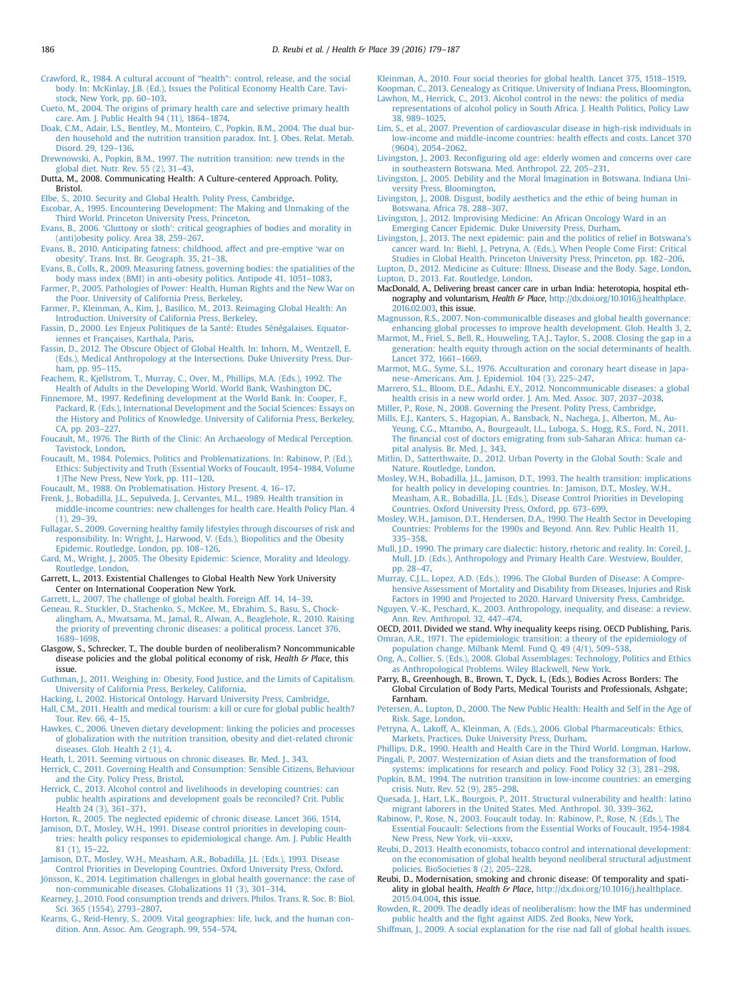<span id="page-7-0"></span>[Crawford, R., 1984. A cultural account of](http://refhub.elsevier.com/S1353-8292(15)00120-3/sbref28) "health": control, release, and the social [body. In: McKinlay, J.B. \(Ed.\), Issues the Political Economy Health Care. Tavi](http://refhub.elsevier.com/S1353-8292(15)00120-3/sbref28)[stock, New York, pp. 60](http://refhub.elsevier.com/S1353-8292(15)00120-3/sbref28)–103.

[Cueto, M., 2004. The origins of primary health care and selective primary health](http://refhub.elsevier.com/S1353-8292(15)00120-3/sbref30) [care. Am. J. Public Health 94 \(11\), 1864](http://refhub.elsevier.com/S1353-8292(15)00120-3/sbref30)–1874.

- [Doak, C.M., Adair, L.S., Bentley, M., Monteiro, C., Popkin, B.M., 2004. The dual bur](http://refhub.elsevier.com/S1353-8292(15)00120-3/sbref31)[den household and the nutrition transition paradox. Int. J. Obes. Relat. Metab.](http://refhub.elsevier.com/S1353-8292(15)00120-3/sbref31) [Disord. 29, 129](http://refhub.elsevier.com/S1353-8292(15)00120-3/sbref31)–136.
- [Drewnowski, A., Popkin, B.M., 1997. The nutrition transition: new trends in the](http://refhub.elsevier.com/S1353-8292(15)00120-3/sbref32) [global diet. Nutr. Rev. 55 \(2\), 31](http://refhub.elsevier.com/S1353-8292(15)00120-3/sbref32)–43.
- Dutta, M., 2008. Communicating Health: A Culture-centered Approach. Polity, Bristol.
- [Elbe, S., 2010. Security and Global Health. Polity Press, Cambridge.](http://refhub.elsevier.com/S1353-8292(15)00120-3/sbref33)
- [Escobar, A., 1995. Encountering Development: The Making and Unmaking of the](http://refhub.elsevier.com/S1353-8292(15)00120-3/sbref34) [Third World. Princeton University Press, Princeton.](http://refhub.elsevier.com/S1353-8292(15)00120-3/sbref34)
- Evans, B., 2006. 'Gluttony or sloth'[: critical geographies of bodies and morality in](http://refhub.elsevier.com/S1353-8292(15)00120-3/sbref35) [\(anti\)obesity policy. Area 38, 259](http://refhub.elsevier.com/S1353-8292(15)00120-3/sbref35)–267.
- [Evans, B., 2010. Anticipating fatness: childhood, affect and pre-emptive](http://refhub.elsevier.com/S1353-8292(15)00120-3/sbref36) 'war on obesity'[. Trans. Inst. Br. Geograph. 35, 21](http://refhub.elsevier.com/S1353-8292(15)00120-3/sbref36)–38.
- [Evans, B., Colls, R., 2009. Measuring fatness, governing bodies: the spatialities of the](http://refhub.elsevier.com/S1353-8292(15)00120-3/sbref37) [body mass index \(BMI\) in anti-obesity politics. Antipode 41, 1051](http://refhub.elsevier.com/S1353-8292(15)00120-3/sbref37)–1083.
- [Farmer, P., 2005. Pathologies of Power: Health, Human Rights and the New War on](http://refhub.elsevier.com/S1353-8292(15)00120-3/sbref38) [the Poor. University of California Press, Berkeley.](http://refhub.elsevier.com/S1353-8292(15)00120-3/sbref38)
- [Farmer, P., Kleinman, A., Kim, J., Basilico, M., 2013. Reimaging Global Health: An](http://refhub.elsevier.com/S1353-8292(15)00120-3/sbref39) [Introduction. University of California Press, Berkeley.](http://refhub.elsevier.com/S1353-8292(15)00120-3/sbref39)
- [Fassin, D., 2000. Les Enjeux Politiques de la Santé: Etudes Sénégalaises. Equator](http://refhub.elsevier.com/S1353-8292(15)00120-3/sbref40)[iennes et Françaises, Karthala, Paris.](http://refhub.elsevier.com/S1353-8292(15)00120-3/sbref40)
- [Fassin, D., 2012. The Obscure Object of Global Health. In: Inhorn, M., Wentzell, E.](http://refhub.elsevier.com/S1353-8292(15)00120-3/sbref41) [\(Eds.\), Medical Anthropology at the Intersections. Duke University Press, Dur](http://refhub.elsevier.com/S1353-8292(15)00120-3/sbref41)[ham, pp. 95](http://refhub.elsevier.com/S1353-8292(15)00120-3/sbref41)–115.
- [Feachem, R., Kjellstrom, T., Murray, C., Over, M., Phillips, M.A. \(Eds.\), 1992. The](http://refhub.elsevier.com/S1353-8292(15)00120-3/sbref42) [Health of Adults in the Developing World. World Bank, Washington DC.](http://refhub.elsevier.com/S1353-8292(15)00120-3/sbref42)
- Finnemore, M., 1997. Redefi[ning development at the World Bank. In: Cooper, F.,](http://refhub.elsevier.com/S1353-8292(15)00120-3/sbref43) [Packard, R. \(Eds.\), International Development and the Social Sciences: Essays on](http://refhub.elsevier.com/S1353-8292(15)00120-3/sbref43) [the History and Politics of Knowledge. University of California Press, Berkeley,](http://refhub.elsevier.com/S1353-8292(15)00120-3/sbref43) [CA, pp. 203](http://refhub.elsevier.com/S1353-8292(15)00120-3/sbref43)–227.
- [Foucault, M., 1976. The Birth of the Clinic: An Archaeology of Medical Perception.](http://refhub.elsevier.com/S1353-8292(15)00120-3/sbref44) [Tavistock, London.](http://refhub.elsevier.com/S1353-8292(15)00120-3/sbref44)
- [Foucault, M., 1984. Polemics, Politics and Problematizations. In: Rabinow, P. \(Ed.\),](http://refhub.elsevier.com/S1353-8292(15)00120-3/sbref45) [Ethics: Subjectivity and Truth \(Essential Works of Foucault, 1954](http://refhub.elsevier.com/S1353-8292(15)00120-3/sbref45)–1984, Volume [1\)The New Press, New York, pp. 111](http://refhub.elsevier.com/S1353-8292(15)00120-3/sbref45)–120.
- [Foucault, M., 1988. On Problematisation. History Present. 4, 16](http://refhub.elsevier.com/S1353-8292(15)00120-3/sbref46)–17.
- [Frenk, J., Bobadilla, J.L., Sepulveda, J., Cervantes, M.L., 1989. Health transition in](http://refhub.elsevier.com/S1353-8292(15)00120-3/sbref48) [middle-income countries: new challenges for health care. Health Policy Plan. 4](http://refhub.elsevier.com/S1353-8292(15)00120-3/sbref48) [\(1\), 29](http://refhub.elsevier.com/S1353-8292(15)00120-3/sbref48)–39.
- [Fullagar, S., 2009. Governing healthy family lifestyles through discourses of risk and](http://refhub.elsevier.com/S1353-8292(15)00120-3/sbref50) [responsibility. In: Wright, J., Harwood, V. \(Eds.\), Biopolitics and the Obesity](http://refhub.elsevier.com/S1353-8292(15)00120-3/sbref50) [Epidemic. Routledge, London, pp. 108](http://refhub.elsevier.com/S1353-8292(15)00120-3/sbref50)–126.
- [Gard, M., Wright, J., 2005. The Obesity Epidemic: Science, Morality and Ideology.](http://refhub.elsevier.com/S1353-8292(15)00120-3/sbref51) [Routledge, London.](http://refhub.elsevier.com/S1353-8292(15)00120-3/sbref51)
- Garrett, L., 2013. Existential Challenges to Global Health New York University Center on International Cooperation New York.
- [Garrett, L., 2007. The challenge of global health. Foreign Aff. 14, 14](http://refhub.elsevier.com/S1353-8292(15)00120-3/sbref52)–39.
- [Geneau, R., Stuckler, D., Stachenko, S., McKee, M., Ebrahim, S., Basu, S., Chock](http://refhub.elsevier.com/S1353-8292(15)00120-3/sbref53)[alingham, A., Mwatsama, M., Jamal, R., Alwan, A., Beaglehole, R., 2010. Raising](http://refhub.elsevier.com/S1353-8292(15)00120-3/sbref53) [the priority of preventing chronic diseases: a political process. Lancet 376,](http://refhub.elsevier.com/S1353-8292(15)00120-3/sbref53) [1689](http://refhub.elsevier.com/S1353-8292(15)00120-3/sbref53)–[1698.](http://refhub.elsevier.com/S1353-8292(15)00120-3/sbref53)
- Glasgow, S., Schrecker, T., The double burden of neoliberalism? Noncommunicable disease policies and the global political economy of risk, Health  $\Theta$  Place, this issue.
- [Guthman, J., 2011. Weighing in: Obesity, Food Justice, and the Limits of Capitalism.](http://refhub.elsevier.com/S1353-8292(15)00120-3/sbref54) [University of California Press, Berkeley, California.](http://refhub.elsevier.com/S1353-8292(15)00120-3/sbref54)
- [Hacking, I., 2002. Historical Ontology. Harvard University Press, Cambridge.](http://refhub.elsevier.com/S1353-8292(15)00120-3/sbref55)
- [Hall, C.M., 2011. Health and medical tourism: a kill or cure for global public health?](http://refhub.elsevier.com/S1353-8292(15)00120-3/sbref56) [Tour. Rev. 66, 4](http://refhub.elsevier.com/S1353-8292(15)00120-3/sbref56)–15.
- [Hawkes, C., 2006. Uneven dietary development: linking the policies and processes](http://refhub.elsevier.com/S1353-8292(15)00120-3/sbref57) [of globalization with the nutrition transition, obesity and diet-related chronic](http://refhub.elsevier.com/S1353-8292(15)00120-3/sbref57) [diseases. Glob. Health 2 \(1\), 4.](http://refhub.elsevier.com/S1353-8292(15)00120-3/sbref57)
- [Heath, I., 2011. Seeming virtuous on chronic diseases. Br. Med. J., 343.](http://refhub.elsevier.com/S1353-8292(15)00120-3/sbref58)
- [Herrick, C., 2011. Governing Health and Consumption: Sensible Citizens, Behaviour](http://refhub.elsevier.com/S1353-8292(15)00120-3/sbref59) [and the City. Policy Press, Bristol.](http://refhub.elsevier.com/S1353-8292(15)00120-3/sbref59)
- [Herrick, C., 2013. Alcohol control and livelihoods in developing countries: can](http://refhub.elsevier.com/S1353-8292(15)00120-3/sbref60) [public health aspirations and development goals be reconciled? Crit. Public](http://refhub.elsevier.com/S1353-8292(15)00120-3/sbref60) [Health 24 \(3\), 361](http://refhub.elsevier.com/S1353-8292(15)00120-3/sbref60)–371.
- [Horton, R., 2005. The neglected epidemic of chronic disease. Lancet 366, 1514.](http://refhub.elsevier.com/S1353-8292(15)00120-3/sbref61)
- [Jamison, D.T., Mosley, W.H., 1991. Disease control priorities in developing coun](http://refhub.elsevier.com/S1353-8292(15)00120-3/sbref62)[tries: health policy responses to epidemiological change. Am. J. Public Health](http://refhub.elsevier.com/S1353-8292(15)00120-3/sbref62) [81 \(1\), 15](http://refhub.elsevier.com/S1353-8292(15)00120-3/sbref62)–22.
- [Jamison, D.T., Mosley, W.H., Measham, A.R., Bobadilla, J.L. \(Eds.\), 1993. Disease](http://refhub.elsevier.com/S1353-8292(15)00120-3/sbref63) [Control Priorities in Developing Countries. Oxford University Press, Oxford.](http://refhub.elsevier.com/S1353-8292(15)00120-3/sbref63) [Jönsson, K., 2014. Legitimation challenges in global health governance: the case of](http://refhub.elsevier.com/S1353-8292(15)00120-3/sbref64)
- [non-communicable diseases. Globalizations 11 \(3\), 301](http://refhub.elsevier.com/S1353-8292(15)00120-3/sbref64)–314. [Kearney, J., 2010. Food consumption trends and drivers. Philos. Trans. R. Soc. B: Biol.](http://refhub.elsevier.com/S1353-8292(15)00120-3/sbref65)
- [Sci. 365 \(1554\), 2793](http://refhub.elsevier.com/S1353-8292(15)00120-3/sbref65)–2807. [Kearns, G., Reid-Henry, S., 2009. Vital geographies: life, luck, and the human con-](http://refhub.elsevier.com/S1353-8292(15)00120-3/sbref66)
- [dition. Ann. Assoc. Am. Geograph. 99, 554](http://refhub.elsevier.com/S1353-8292(15)00120-3/sbref66)–574.

[Kleinman, A., 2010. Four social theories for global health. Lancet 375, 1518](http://refhub.elsevier.com/S1353-8292(15)00120-3/sbref67)–1519. [Koopman, C., 2013. Genealogy as Critique. University of Indiana Press, Bloomington.](http://refhub.elsevier.com/S1353-8292(15)00120-3/sbref68) [Lawhon, M., Herrick, C., 2013. Alcohol control in the news: the politics of media](http://refhub.elsevier.com/S1353-8292(15)00120-3/sbref69)

[representations of alcohol policy in South Africa. J. Health Politics, Policy Law](http://refhub.elsevier.com/S1353-8292(15)00120-3/sbref69) [38, 989](http://refhub.elsevier.com/S1353-8292(15)00120-3/sbref69)–1025.

- [Lim, S., et al., 2007. Prevention of cardiovascular disease in high-risk individuals in](http://refhub.elsevier.com/S1353-8292(15)00120-3/sbref70) [low-income and middle-income countries: health effects and costs. Lancet 370](http://refhub.elsevier.com/S1353-8292(15)00120-3/sbref70) [\(9604\), 2054](http://refhub.elsevier.com/S1353-8292(15)00120-3/sbref70)–2062.
- Livingston, J., 2003. Reconfi[guring old age: elderly women and concerns over care](http://refhub.elsevier.com/S1353-8292(15)00120-3/sbref71) [in southeastern Botswana. Med. Anthropol. 22, 205](http://refhub.elsevier.com/S1353-8292(15)00120-3/sbref71)–231.
- [Livingston, J., 2005. Debility and the Moral Imagination in Botswana. Indiana Uni](http://refhub.elsevier.com/S1353-8292(15)00120-3/sbref72)[versity Press, Bloomington.](http://refhub.elsevier.com/S1353-8292(15)00120-3/sbref72)
- [Livingston, J., 2008. Disgust, bodily aesthetics and the ethic of being human in](http://refhub.elsevier.com/S1353-8292(15)00120-3/sbref73) [Botswana. Africa 78, 288](http://refhub.elsevier.com/S1353-8292(15)00120-3/sbref73)–307.
- [Livingston, J., 2012. Improvising Medicine: An African Oncology Ward in an](http://refhub.elsevier.com/S1353-8292(15)00120-3/sbref74) [Emerging Cancer Epidemic. Duke University Press, Durham.](http://refhub.elsevier.com/S1353-8292(15)00120-3/sbref74)
- [Livingston, J., 2013. The next epidemic: pain and the politics of relief in Botswana's](http://refhub.elsevier.com/S1353-8292(15)00120-3/sbref75) [cancer ward. In: Biehl, J., Petryna, A. \(Eds.\), When People Come First: Critical](http://refhub.elsevier.com/S1353-8292(15)00120-3/sbref75) [Studies in Global Health. Princeton University Press, Princeton, pp. 182](http://refhub.elsevier.com/S1353-8292(15)00120-3/sbref75)–206.
- [Lupton, D., 2012. Medicine as Culture: Illness, Disease and the Body. Sage, London.](http://refhub.elsevier.com/S1353-8292(15)00120-3/sbref76) [Lupton, D., 2013. Fat. Routledge, London.](http://refhub.elsevier.com/S1353-8292(15)00120-3/sbref77)
- MacDonald, A., Delivering breast cancer care in urban India: heterotopia, hospital ethnography and voluntarism, Health & Place, [http://dx.doi.org/10.1016/j.healthplace.](http://dx.doi.org/10.1016/j.healthplace.2016.02.003) [2016.02.003](http://dx.doi.org/10.1016/j.healthplace.2016.02.003), this issue.
- [Magnusson, R.S., 2007. Non-communicalble diseases and global health governance:](http://refhub.elsevier.com/S1353-8292(15)00120-3/sbref78) [enhancing global processes to improve health development. Glob. Health 3, 2.](http://refhub.elsevier.com/S1353-8292(15)00120-3/sbref78)
- [Marmot, M., Friel, S., Bell, R., Houweling, T.A.J., Taylor, S., 2008. Closing the gap in a](http://refhub.elsevier.com/S1353-8292(15)00120-3/sbref79) [generation: health equity through action on the social determinants of health.](http://refhub.elsevier.com/S1353-8292(15)00120-3/sbref79) [Lancet 372, 1661](http://refhub.elsevier.com/S1353-8292(15)00120-3/sbref79)–1669.
- [Marmot, M.G., Syme, S.L., 1976. Acculturation and coronary heart disease in Japa](http://refhub.elsevier.com/S1353-8292(15)00120-3/sbref80)nese–[Americans. Am. J. Epidemiol. 104 \(3\), 225](http://refhub.elsevier.com/S1353-8292(15)00120-3/sbref80)–247.
- [Marrero, S.L., Bloom, D.E., Adashi, E.Y., 2012. Noncommunicable diseases: a global](http://refhub.elsevier.com/S1353-8292(15)00120-3/sbref81) [health crisis in a new world order. J. Am. Med. Assoc. 307, 2037](http://refhub.elsevier.com/S1353-8292(15)00120-3/sbref81)–2038.
- [Miller, P., Rose, N., 2008. Governing the Present. Polity Press, Cambridge.](http://refhub.elsevier.com/S1353-8292(15)00120-3/sbref82)
- [Mills, E.J., Kanters, S., Hagopian, A., Bansback, N., Nachega, J., Alberton, M., Au-](http://refhub.elsevier.com/S1353-8292(15)00120-3/sbref83)[Yeung, C.G., Mtambo, A., Bourgeault, I.L., Luboga, S., Hogg, R.S., Ford, N., 2011.](http://refhub.elsevier.com/S1353-8292(15)00120-3/sbref83) The fi[nancial cost of doctors emigrating from sub-Saharan Africa: human ca](http://refhub.elsevier.com/S1353-8292(15)00120-3/sbref83)[pital analysis. Br. Med. J., 343.](http://refhub.elsevier.com/S1353-8292(15)00120-3/sbref83)
- [Mitlin, D., Satterthwaite, D., 2012. Urban Poverty in the Global South: Scale and](http://refhub.elsevier.com/S1353-8292(15)00120-3/sbref84) [Nature. Routledge, London.](http://refhub.elsevier.com/S1353-8292(15)00120-3/sbref84)
- [Mosley, W.H., Bobadilla, J.L., Jamison, D.T., 1993. The health transition: implications](http://refhub.elsevier.com/S1353-8292(15)00120-3/sbref85) [for health policy in developing countries. In: Jamison, D.T., Mosley, W.H.,](http://refhub.elsevier.com/S1353-8292(15)00120-3/sbref85) [Measham, A.R., Bobadilla, J.L. \(Eds.\), Disease Control Priorities in Developing](http://refhub.elsevier.com/S1353-8292(15)00120-3/sbref85) [Countries. Oxford University Press, Oxford, pp. 673](http://refhub.elsevier.com/S1353-8292(15)00120-3/sbref85)–699.
- [Mosley, W.H., Jamison, D.T., Hendersen, D.A., 1990. The Health Sector in Developing](http://refhub.elsevier.com/S1353-8292(15)00120-3/sbref86) [Countries: Problems for the 1990s and Beyond. Ann. Rev. Public Health 11,](http://refhub.elsevier.com/S1353-8292(15)00120-3/sbref86) [335](http://refhub.elsevier.com/S1353-8292(15)00120-3/sbref86)–[358.](http://refhub.elsevier.com/S1353-8292(15)00120-3/sbref86)
- [Mull, J.D., 1990. The primary care dialectic: history, rhetoric and reality. In: Coreil, J.,](http://refhub.elsevier.com/S1353-8292(15)00120-3/sbref87) [Mull, J.D. \(Eds.\), Anthropology and Primary Health Care. Westview, Boulder,](http://refhub.elsevier.com/S1353-8292(15)00120-3/sbref87) [pp. 28](http://refhub.elsevier.com/S1353-8292(15)00120-3/sbref87)–47.
- [Murray, C.J.L., Lopez, A.D. \(Eds.\), 1996. The Global Burden of Disease: A Compre](http://refhub.elsevier.com/S1353-8292(15)00120-3/sbref88)[hensive Assessment of Mortality and Disability from Diseases, Injuries and Risk](http://refhub.elsevier.com/S1353-8292(15)00120-3/sbref88) [Factors in 1990 and Projected to 2020. Harvard University Press, Cambridge.](http://refhub.elsevier.com/S1353-8292(15)00120-3/sbref88)
- [Nguyen, V.-K., Peschard, K., 2003. Anthropology, inequality, and disease: a review.](http://refhub.elsevier.com/S1353-8292(15)00120-3/sbref89) [Ann. Rev. Anthropol. 32, 447](http://refhub.elsevier.com/S1353-8292(15)00120-3/sbref89)–474.
- OECD, 2011. Divided we stand. Why inequality keeps rising. OECD Publishing, Paris. [Omran, A.R., 1971. The epidemiologic transition: a theory of the epidemiology of](http://refhub.elsevier.com/S1353-8292(15)00120-3/sbref90)
- [population change. Milbank Meml. Fund Q. 49 \(4/1\), 509](http://refhub.elsevier.com/S1353-8292(15)00120-3/sbref90)–538. [Ong, A., Collier, S. \(Eds.\), 2008. Global Assemblages: Technology, Politics and Ethics](http://refhub.elsevier.com/S1353-8292(15)00120-3/sbref91)
- [as Anthropological Problems. Wiley Blackwell, New York.](http://refhub.elsevier.com/S1353-8292(15)00120-3/sbref91) Parry, B., Greenhough, B., Brown, T., Dyck, I., (Eds.), Bodies Across Borders: The
- Global Circulation of Body Parts, Medical Tourists and Professionals, Ashgate; Farnham.
- [Petersen, A., Lupton, D., 2000. The New Public Health: Health and Self in the Age of](http://refhub.elsevier.com/S1353-8292(15)00120-3/sbref92) [Risk. Sage, London.](http://refhub.elsevier.com/S1353-8292(15)00120-3/sbref92)
- [Petryna, A., Lakoff, A., Kleinman, A. \(Eds.\), 2006. Global Pharmaceuticals: Ethics,](http://refhub.elsevier.com/S1353-8292(15)00120-3/sbref93) [Markets, Practices. Duke University Press, Durham.](http://refhub.elsevier.com/S1353-8292(15)00120-3/sbref93)
- [Phillips, D.R., 1990. Health and Health Care in the Third World. Longman, Harlow.](http://refhub.elsevier.com/S1353-8292(15)00120-3/sbref94)
- [Pingali, P., 2007. Westernization of Asian diets and the transformation of food](http://refhub.elsevier.com/S1353-8292(15)00120-3/sbref95) [systems: implications for research and policy. Food Policy 32 \(3\), 281](http://refhub.elsevier.com/S1353-8292(15)00120-3/sbref95)–298.
- [Popkin, B.M., 1994. The nutrition transition in low-income countries: an emerging](http://refhub.elsevier.com/S1353-8292(15)00120-3/sbref96) [crisis. Nutr. Rev. 52 \(9\), 285](http://refhub.elsevier.com/S1353-8292(15)00120-3/sbref96)–298.
- [Quesada, J., Hart, L.K., Bourgois, P., 2011. Structural vulnerability and health: latino](http://refhub.elsevier.com/S1353-8292(15)00120-3/sbref97) [migrant laborers in the United States. Med. Anthropol. 30, 339](http://refhub.elsevier.com/S1353-8292(15)00120-3/sbref97)–362.
- [Rabinow, P., Rose, N., 2003. Foucault today. In: Rabinow, P., Rose, N. \(Eds.\), The](http://refhub.elsevier.com/S1353-8292(15)00120-3/sbref98) [Essential Foucault: Selections from the Essential Works of Foucault, 1954-1984.](http://refhub.elsevier.com/S1353-8292(15)00120-3/sbref98) [New Press, New York, vii](http://refhub.elsevier.com/S1353-8292(15)00120-3/sbref98)–xxxv.
- [Reubi, D., 2013. Health economists, tobacco control and international development:](http://refhub.elsevier.com/S1353-8292(15)00120-3/sbref99) [on the economisation of global health beyond neoliberal structural adjustment](http://refhub.elsevier.com/S1353-8292(15)00120-3/sbref99) [policies. BioSocieties 8 \(2\), 205](http://refhub.elsevier.com/S1353-8292(15)00120-3/sbref99)–228.
- Reubi, D., Modernisation, smoking and chronic disease: Of temporality and spatiality in global health, Health & Place, [http://dx.doi.org/10.1016/j.healthplace.](http://dx.doi.org/10.1016/j.healthplace.2015.04.004) [2015.04.004,](http://dx.doi.org/10.1016/j.healthplace.2015.04.004) this issue.
- [Rowden, R., 2009. The deadly ideas of neoliberalism: how the IMF has undermined](http://refhub.elsevier.com/S1353-8292(15)00120-3/sbref101) public health and the fi[ght against AIDS. Zed Books, New York.](http://refhub.elsevier.com/S1353-8292(15)00120-3/sbref101)
- Shiffman, J., 2009. A social explanation for the rise nad fall of global health issues